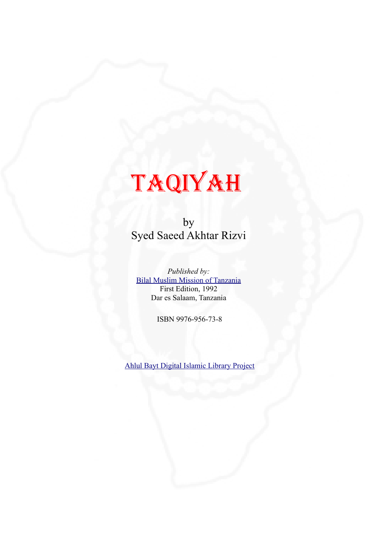

by Syed Saeed Akhtar Rizvi

*Published by:* Bilal Muslim Mission of Tanzania First Edition, 1992 Dar es Salaam, Tanzania

ISBN 9976-956-73-8

Ahlul Bayt Digital Islamic Library Project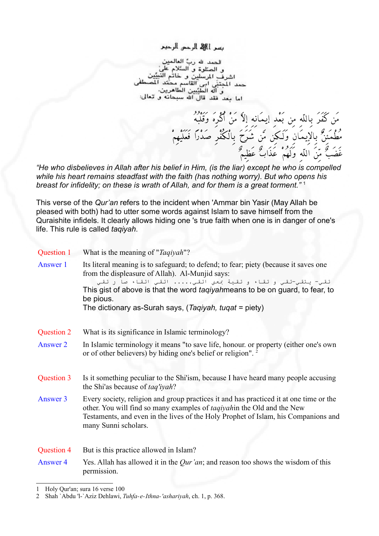

الحمد الله ربِّ العال  $...$ و الصلوة و. ا 4، سنة مد المحتذ آله الطنّسن -11 اما بعد فقد قال الله سبحانه و تعالى:

من كفر بِاللَّهِ مِن بَعْدِ إيمانِهِ إلاَّ مَنْ أكْرِه وقُلبَهُ

غضبٌ مِّن اللَّهِ ولهُم عذابٌ عظِيمٌ

مُطَمِّينٌ بِالإِيمانِ وَلَكِن مّن شَرْحٍ بِالْكُفْرِ صَدْرًا فَعَلَيْهِمْ

*"He who disbelieves in Allah after his belief in Him, (is the liar) except he who is compelled while his heart remains steadfast with the faith (has nothing worry). But who opens his breast for infidelity; on these is wrath of Allah, and for them is a great torment."* [1](#page-1-0)

This verse of the *Qur'an* refers to the incident when 'Ammar bin Yasir (May Allah be pleased with both) had to utter some words against Islam to save himself from the Quraishite infidels. It clearly allows hiding one 's true faith when one is in danger of one's life. This rule is called *taqiyah*.

|            | Question 1 What is the meaning of "Taqiyah"?                                                                                                                                                                                                                                                                                                                        |
|------------|---------------------------------------------------------------------------------------------------------------------------------------------------------------------------------------------------------------------------------------------------------------------------------------------------------------------------------------------------------------------|
| Answer 1   | Its literal meaning is to safeguard; to defend; to fear; piety (because it saves one<br>from the displeasure of Allah). Al-Munjid says:<br>تقي- يتقي-تقي و تقاء و تقية عمني اتقي اتقي اتقاء صا ر تقي<br>This gist of above is that the word <i>taqiyah</i> means to be on guard, to fear, to<br>be pious.<br>The dictionary as-Surah says, (Taqiyah, tuqat = piety) |
|            |                                                                                                                                                                                                                                                                                                                                                                     |
| Question 2 | What is its significance in Islamic terminology?                                                                                                                                                                                                                                                                                                                    |
| Answer 2   | In Islamic terminology it means "to save life, honour, or property (either one's own<br>or of other believers) by hiding one's belief or religion". <sup>2</sup>                                                                                                                                                                                                    |
| Question 3 | Is it something peculiar to the Shi'ism, because I have heard many people accusing<br>the Shi'as because of taq'iyah?                                                                                                                                                                                                                                               |
| Answer 3   | Every society, religion and group practices it and has practiced it at one time or the<br>other. You will find so many examples of <i>taqiyah</i> in the Old and the New<br>Testaments, and even in the lives of the Holy Prophet of Islam, his Companions and<br>many Sunni scholars.                                                                              |
| Question 4 | But is this practice allowed in Islam?                                                                                                                                                                                                                                                                                                                              |
| Answer 4   | Yes. Allah has allowed it in the <i>Qur'an</i> ; and reason too shows the wisdom of this<br>permission.                                                                                                                                                                                                                                                             |

<span id="page-1-0"></span><sup>1</sup> Holy Qur'an; sura 16 verse 100

<span id="page-1-1"></span><sup>2</sup> Shah `Abdu 'l-`Aziz Dehlawi, *Tuhfa-e-Ithna-'ashariyah*, ch. 1, p. 368.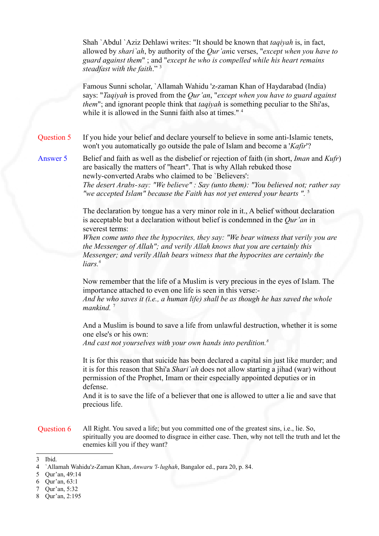Shah `Abdul `Aziz Dehlawi writes: "It should be known that *taqiyah* is, in fact, allowed by *shari`ah*, by authority of the *Qur'an*ic verses, "*except when you have to guard against them*" ; and "*except he who is compelled while his heart remains steadfast with the faith*." [3](#page-2-0)

Famous Sunni scholar, `Allamah Wahidu 'z-zaman Khan of Haydarabad (India) says: "*Taqiyah* is proved from the *Qur'an*, "*except when you have to guard against them*"; and ignorant people think that *taqiyah* is something peculiar to the Shi'as, while it is allowed in the Sunni faith also at times."<sup>[4](#page-2-1)</sup>

Question 5 If you hide your belief and declare yourself to believe in some anti-Islamic tenets, won't you automatically go outside the pale of Islam and become a '*Kafir*'?

Answer 5 Belief and faith as well as the disbelief or rejection of faith (in short, *Iman* and *Kufr*) are basically the matters of "heart". That is why Allah rebuked those newly-converted Arabs who claimed to be `Believers': *The desert Arabs-say: "We believe" : Say (unto them): "You believed not; rather say*

*"we accepted Islam" because the Faith has not yet entered your hearts ".* [5](#page-2-2)

The declaration by tongue has a very minor role in it., A belief without declaration is acceptable but a declaration without belief is condemned in the *Qur'an* in severest terms:

*When come unto thee the hypocrites, they say: "We bear witness that verily you are the Messenger of Allah"; and verily Allah knows that you are certainly this Messenger; and verily Allah bears witness that the hypocrites are certainly the liars. [6](#page-2-3)*

Now remember that the life of a Muslim is very precious in the eyes of Islam. The importance attached to even one life is seen in this verse:-

*And he who saves it (i.e., a human life) shall be as though he has saved the whole mankind.* [7](#page-2-4)

And a Muslim is bound to save a life from unlawful destruction, whether it is some one else's or his own:

*And cast not yourselves with your own hands into perdition.[8](#page-2-5)*

It is for this reason that suicide has been declared a capital sin just like murder; and it is for this reason that Shi'a *Shari`ah* does not allow starting a jihad (war) without permission of the Prophet, Imam or their especially appointed deputies or in defense.

And it is to save the life of a believer that one is allowed to utter a lie and save that precious life.

Question 6 All Right. You saved a life; but you committed one of the greatest sins, i.e., lie. So, spiritually you are doomed to disgrace in either case. Then, why not tell the truth and let the enemies kill you if they want?

<span id="page-2-0"></span><sup>3</sup> Ibid.

<span id="page-2-1"></span><sup>4</sup> `Allamah Wahidu'z-Zaman Khan, *Anwaru 'l-lughah*, Bangalor ed., para 20, p. 84.

<span id="page-2-2"></span><sup>5</sup> Qur'an, 49:14

<span id="page-2-3"></span><sup>6</sup> Qur'an, 63:1

<span id="page-2-4"></span><sup>7</sup> Qur'an, 5:32

<span id="page-2-5"></span><sup>8</sup> Qur'an, 2:195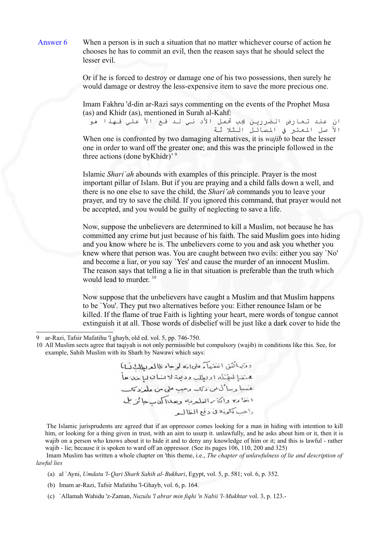

Answer 6 When a person is in such a situation that no matter whichever course of action he chooses he has to commit an evil, then the reason says that he should select the lesser evil.

> Or if he is forced to destroy or damage one of his two possessions, then surely he would damage or destroy the less-expensive item to save the more precious one.

> Imam Fakhru 'd-din ar-Razi says commenting on the events of the Prophet Musa (as) and Khidr (as), mentioned in Surah al-Kahf:

ان عند تعارض الضررين يب تمل الد ني لد فع ال علي فهذا هو ال صل العتب ف السائل الثل ثة When one is confronted by two damaging alternatives, it is *wajib* to bear the lesser one in order to ward off the greater one; and this was the principle followed in the three actions (done byKhidr)' [9](#page-3-0)

Islamic *Shari`ah* abounds with examples of this principle. Prayer is the most important pillar of Islam. But if you are praying and a child falls down a well, and there is no one else to save the child, the *Shari'ah* commands you to leave your prayer, and try to save the child. If you ignored this command, that prayer would not be accepted, and you would be guilty of neglecting to save a life.

Now, suppose the unbelievers are determined to kill a Muslim, not because he has committed any crime but just because of his faith. The said Muslim goes into hiding and you know where he is. The unbelievers come to you and ask you whether you knew where that person was. You are caught between two evils: either you say `No' and become a liar, or you say `Yes' and cause the murder of an innocent Muslim. The reason says that telling a lie in that situation is preferable than the truth which would lead to murder. [10](#page-3-1)

Now suppose that the unbelievers have caught a Muslim and that Muslim happens to be `You'. They put two alternatives before you: Either renounce Islam or be killed. If the flame of true Faith is lighting your heart, mere words of tongue cannot extinguish it at all. Those words of disbelief will be just like a dark cover to hide the

وذبياتكن انفقهآء علىانه لوجاء ظالمعربطلن نسانا عنفيا لتؤلمك اولطل وديبذلانشان لبابته حأ عقبيا وساكيمن دتك وعيب على من علم وتكب اخاءه واتكارالعلمريه ويعداكمان جائزيل واحب ككوذه في دفع الظالير

The Islamic jurisprudents are agreed that if an oppressor comes looking for a man in hiding with intention to kill him, or looking for a thing given in trust, with an aim to usurp it. unlawfully, and he asks about him or it, then it is wajib on a person who knows about it to hide it and to deny any knowledge of him or it; and this is lawful - rather wajib - lie; because it is spoken to ward off an oppressor. (See its pages 106, 110, 200 and 325)

Imam Muslim has written a whole chapter on 'this theme, i.e., *The chapter of unlawfulness of lie and description of lawful lies*

- (a) al `Ayni, *Umdatu 'l-Qari Sharh Sahih al-Bukhari*, Egypt, vol. 5, p. 581; vol. 6, p. 352.
- (b) Imam ar-Razi, Tafsir Mafatihu 'l-Ghayb, vol. 6, p. 164.
- (c) `Allamah Wahidu 'z-Zaman, *Nuzulu 'l abrar min fiqhi 'n Nabii 'l-Mukhtar* vol. 3, p. 123.-

<span id="page-3-0"></span><sup>9</sup> ar-Razi, Tafsir Mafatihu 'l ghayb, old ed. vol. 5, pp. 746-750.

<span id="page-3-1"></span><sup>10</sup> All Muslim sects agree that taqiyah is not only permissible but compulsory (wajib) in conditions like this. See, for example, Sahih Muslim with its Sharh by Nawawi which says: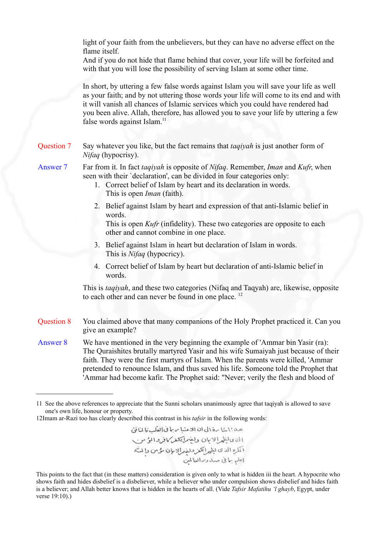light of your faith from the unbelievers, but they can have no adverse effect on the flame itself.

And if you do not hide that flame behind that cover, your life will be forfeited and with that you will lose the possibility of serving Islam at some other time.

In short, by uttering a few false words against Islam you will save your life as well as your faith; and by not uttering those words your life will come to its end and with it will vanish all chances of Islamic services which you could have rendered had you been alive. Allah, therefore, has allowed you to save your life by uttering a few false words against Islam. [11](#page-4-0)

- Question 7 Say whatever you like, but the fact remains that *taqiyah* is just another form of *Nifaq* (hypocrisy).
- Answer 7 Far from it. In fact *taqiyah* is opposite of *Nifaq*. Remember, *Iman* and *Kufr*, when seen with their `declaration', can be divided in four categories only:
	- 1. Correct belief of Islam by heart and its declaration in words. This is open *Iman* (faith).
	- 2. Belief against Islam by heart and expression of that anti-Islamic belief in words.

This is open *Kufr* (infidelity). These two categories are opposite to each other and cannot combine in one place.

- 3. Belief against Islam in heart but declaration of Islam in words. This is *Nifaq* (hypocricy).
- 4. Correct belief of Islam by heart but declaration of anti-Islamic belief in words.

This is *taqiyah*, and these two categories (Nifaq and Taqyah) are, likewise, opposite to each other and can never be found in one place.<sup>[12](#page-4-1)</sup>

- Question 8 You claimed above that many companions of the Holy Prophet practiced it. Can you give an example?
- Answer 8 We have mentioned in the very beginning the example of 'Ammar bin Yasir (ra): The Quraishites brutally martyred Yasir and his wife Sumaiyah just because of their faith. They were the first martyrs of Islam. When the parents were killed, 'Ammar pretended to renounce Islam, and thus saved his life. Someone told the Prophet that 'Ammar had become kafir. The Prophet said: "Never; verily the flesh and blood of

هذا ابنا برة الى ان الاعنها سربا في العدل ما لما يؤم االحانا بالمهالايان ولضرابكش كافروايؤس 001 ما سبهن رسيس وسبع من محمد 6 مرير 1 موس<br>اقتاع الذى نيا يراكلوز ونفهر الامان مؤمن وإنتْ<br>(علم بنا فى صدر در العالمين

This points to the fact that (in these matters) consideration is given only to what is hidden iii the heart. A hypocrite who shows faith and hides disbelief is a disbeliever, while a believer who under compulsion shows disbelief and hides faith is a believer; and Allah better knows that is hidden in the hearts of all. (Vide *Tafsir Mafatihu 'l ghayb*, Egypt, under verse 19:10).)

<span id="page-4-0"></span><sup>11</sup> See the above references to appreciate that the Sunni scholars unanimously agree that taqiyah is allowed to save one's own life, honour or property.

<span id="page-4-1"></span><sup>12</sup>Imam ar-Razi too has clearly described this contrast in his *tafsir* in the following words: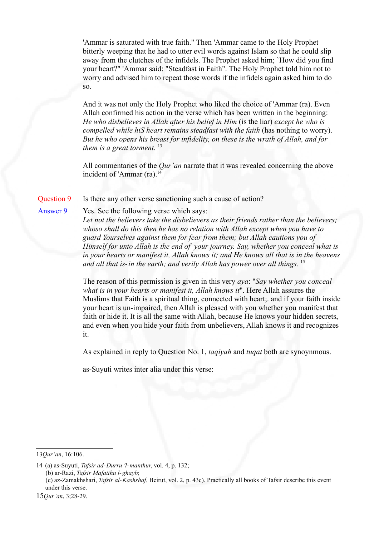'Ammar is saturated with true faith." Then 'Ammar came to the Holy Prophet bitterly weeping that he had to utter evil words against Islam so that he could slip away from the clutches of the infidels. The Prophet asked him; `How did you find your heart?" 'Ammar said: "Steadfast in Faith". The Holy Prophet told him not to worry and advised him to repeat those words if the infidels again asked him to do so.

And it was not only the Holy Prophet who liked the choice of 'Ammar (ra). Even Allah confirmed his action in the verse which has been written in the beginning: *He who disbelieves in Allah after his belief in Him* (is the liar) *except he who is compelled while hiS heart remains steadfast with the faith* (has nothing to worry). *But he who opens his breast for infidelity, on these is the wrath of Allah, and for them is a great torment.* [13](#page-5-0)

All commentaries of the *Qur'an* narrate that it was revealed concerning the above incident of 'Ammar  $(ra).<sup>14</sup>$  $(ra).<sup>14</sup>$  $(ra).<sup>14</sup>$ 

### Question 9 Is there any other verse sanctioning such a cause of action?

#### Answer 9 Yes. See the following verse which says:

*Let not the believers take the disbelievers as their friends rather than the believers; whoso shall do this then he has no relation with Allah except when you have to guard Yourselves against them for fear from them; but Allah cautions you of Himself for unto Allah is the end of your journey. Say, whether you conceal what is in your hearts or manifest it, Allah knows it; and He knows all that is in the heavens and all that is-in the earth; and verily Allah has power over all things.* [15](#page-5-2)

The reason of this permission is given in this very *aya*: "*Say whether you conceal what is in your hearts or manifest it, Allah knows it*". Here Allah assures the Muslims that Faith is a spiritual thing, connected with heart;. and if your faith inside your heart is un-impaired, then Allah is pleased with you whether you manifest that faith or hide it. It is all the same with Allah, because He knows your hidden secrets, and even when you hide your faith from unbelievers, Allah knows it and recognizes it.

As explained in reply to Question No. 1, *taqiyah* and *tuqat* both are synoynmous.

as-Suyuti writes inter alia under this verse:

<span id="page-5-0"></span><sup>13</sup>*Qur'an*, 16:106.

<span id="page-5-1"></span><sup>14</sup> (a) as-Suyuti, *Tafsir ad-Durru 'l-manthur*, vol. 4, p. 132; (b) ar-Razi, *Tafsir Mafatihu l-ghayb*; (c) az-Zamakhshari, *Tafsir al-Kashshaf*, Beirut, vol. 2, p. 43c). Practically all books of Tafsir describe this event under this verse.

<span id="page-5-2"></span><sup>15</sup>*Qur'an*, 3;28-29.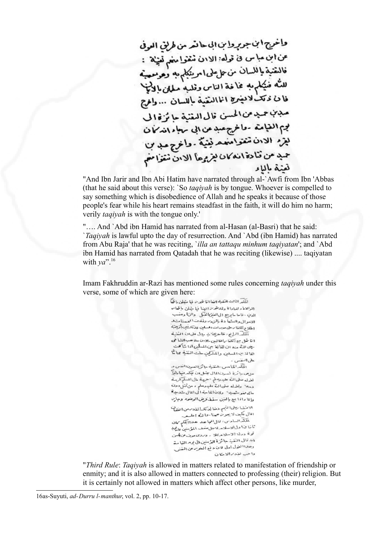واخوج ابن جوروا بن ابي حامد من طريق العوفي عن ابن مبا س فى قوله: الادن ننقوا مغم تغيثة :<br>فالنقنية باللسان من علءلى امريكام به وهومعيته<br>ناشية باللسان من علءلى امريكام به وهومعيته للته خيكلم به عاضة الناس وقلبه مللى بالخيخ فا ن ديك لايفرج الماانسية بالسان ... والحرج<br>فا ن ديك لايفرج الماانسية باللسان ... والحرج مدن حدمن الحسن قال العقبة حائزة الى بوم الغيامة - واخرج عبد عن ابي سهاء اندمما ن نيز، الان تنتوا معد نينية . وانوج مد بن حمد من قنادة انه كان بغ يرعاً الابن نتقرًا مع لمفنة مالنا و

"And Ibn Jarir and Ibn Abi Hatim have narrated through al-`Awfi from Ibn 'Abbas (that he said about this verse): `So *taqiyah* is by tongue. Whoever is compelled to say something which is disobedience of Allah and he speaks it because of those people's fear while his heart remains steadfast in the faith, it will do him no harm; verily *taqiyah* is with the tongue only.'

"…. And `Abd ibn Hamid has narrated from al-Hasan (al-Basri) that he said: `*Taqiyah* is lawful upto the day of resurrection. And `Abd (ibn Hamid) has narrated from Abu Raja' that he was reciting, `*illa an tattaqu minhum taqiyatan*'; and `Abd ibn Hamid has narrated from Qatadah that he was reciting (likewise) .... taqiyatan with *ya*". [16](#page-6-0)

Imam Fakhruddin ar-Razi has mentioned some rules concerning *taqiyah* under this verse, some of which are given here:

المكر الثالث المتفية الغا انا يتبوع فيا متبلئ باظماً الوالاة والمباداة وقاينخوم العذا فباسفان باللعاس الدب -فاحا مايرج الى الغنز المفكل والزنا وعفسب الاموال والسئها دة بإلزر وفقت المحسنات اطلاع اتلغام ملى ميرات المسلين فلاتلافيج بالمخزانية اَعْلَمَ الرَّامِ : طَأْطِرَانِيَّ بِذِلْ عَلَى انْ الْعُنْيَة امًا شل مع الكنَّا راها لين -الادن ملا عب الشا في اس سی سے انسان لفاقہ بین المسلمیں آدا شاہمنت<br>رینی اللہ عنہ ان لفاقہ بین المسلمیں آدا شاہمنت الما لذبن المسلن والمسَركينِ سلت النفية بما مًّا .<br>على السفنس -اللَّه الماس، العُنية باترَة للدن! لفس و حل من سا تُرَة المسرون المال ميشل ان سِبْكہ ونها بالحالي للولد صلى الله عليه وسلم "حرجة مالى المسلّم كرمة د. ۹۰ داندله صلى الله عليه وسلم ء من تمثل دون<br>ما الدهنو شهبه ۰ دلافا لما مبتدأ لى المال شدعية والما داذا ببع بألغن سقط وض الوضوم وجابن الاضتيا بيني التبه دخا للاتشيا لغلامين اختباثنا المال وكيف لا يبوت حينا موا لمنه إعلى -للكندالسادس: قال!عجاجد حذاالمكم كات تابًا قا ول الاسلام لامول منعف المؤمنين عالم به توة ددلة الاسلام*. فلا ، وبروى موف من إس*ن ١ ٥ تال النفت جائزة للومنين الى يوم الغياسة وصلنا العول أولى الان وعمر سن المصر من المفتر.<br>وصلنا العول أولى الان وفع المعتزم من المفتر. واحب لبذر الامكان

"*Third Rule*: *Taqiyah* is allowed in matters related to manifestation of friendship or enmity; and it is also allowed in matters connected to professing (their) religion. But it is certainly not allowed in matters which affect other persons, like murder,

<span id="page-6-0"></span>16as-Suyuti, *ad-Durru l-manthur*, vol. 2, pp. 10-17.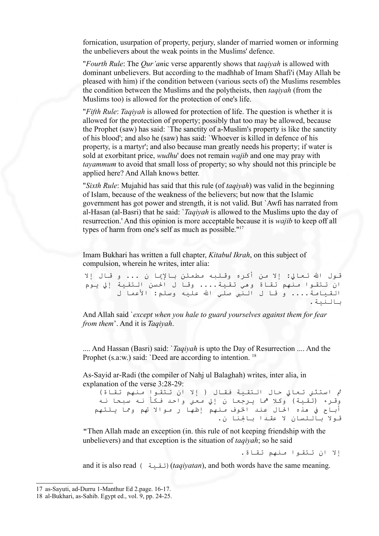fornication, usurpation of property, perjury, slander of married women or informing the unbelievers about the weak points in the Muslims' defence.

"*Fourth Rule*: The *Qur'an*ic verse apparently shows that *taqiyah* is allowed with dominant unbelievers. But according to the madhhab of Imam Shafi'i (May Allah be pleased with him) if the condition between (various sects of) the Muslims resembles the condition between the Muslims and the polytheists, then *taqiyah* (from the Muslims too) is allowed for the protection of one's life.

"*Fifth Rule*: *Taqiyah* is allowed for protection of life. The question is whether it is allowed for the protection of property; possibly that too may be allowed, because the Prophet (saw) has said: `The sanctity of a-Muslim's property is like the sanctity of his blood'; and also he (saw) has said: `Whoever is killed in defence of his property, is a martyr'; and also because man greatly needs his property; if water is sold at exorbitant price, *wudhu*' does not remain *wajib* and one may pray with *tayammum* to avoid that small loss of property; so why should not this principle be applied here? And Allah knows better.

"*Sixth Rule*: Mujahid has said that this rule (of *taqiyah*) was valid in the beginning of Islam, because of the weakness of the believers; but now that the Islamic government has got power and strength, it is not valid. But `Awfi has narrated from al-Hasan (al-Basri) that he said: `*Taqiyah* is allowed to the Muslims upto the day of resurrection.' And this opinion is more acceptable because it is *wajib* to keep off all types of harm from one's self as much as possible."[17](#page-7-0)

Imam Bukhari has written a full chapter, *Kitabul Ikrah*, on this subject of compulsion, wherein he writes, inter alia:

قول الله تعالى: إلا من أكره وقللبه مطمئن بالإيما ن ... و قال إلا ان تتقوا منهم تقاة وهي تقية.... وقا ل السن التقية إل يوم القيامة.... و قا ل النبي صلّي الله عليه وسلم: الأعما ل بالنية.

And Allah said `*except when you hale to guard yourselves against them for fear from them*'. And it is *Taqiyah*.

.... And Hassan (Basri) said: `*Taqiyah* is upto the Day of Resurrection .... And the Prophet (s.a.w.) said: `Deed are according to intention.<sup>[18](#page-7-1)</sup>

As-Sayid ar-Radi (the compiler of Nahj ul Balaghah) writes, inter alia, in explanation of the verse 3:28-29:

ثم استثنى تعالى حال التقية فقال ( إلا ان تتقوا منهم تقاة) وقرء (تقية) وكلا هما يرجعا ن إلى معنى واحد فكأ نه سبحا نه أباح في هذه الحال عند الخوف منهم إظها ر موالا تهم ومما يلتهم قول باللسان ل عقدا بالنا ن.

"Then Allah made an exception (in. this rule of not keeping friendship with the unbelievers) and that exception is the situation of *taqiyah*; so he said

إل ان تتقوا منهم تقاة.

and it is also read ( تقية)(*taqiyatan*), and both words have the same meaning.

<span id="page-7-0"></span><sup>17</sup> as-Sayuti, ad-Durru 1-Manthur Ed 2.page. 16-17.

<span id="page-7-1"></span><sup>18</sup> al-Bukhari, as-Sahib. Egypt ed., vol. 9, pp. 24-25.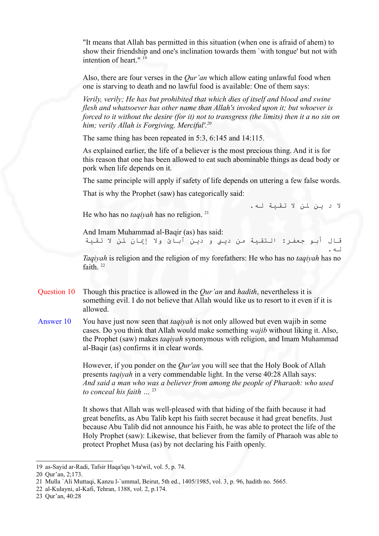"It means that Allah bas permitted in this situation (when one is afraid of ahem) to show their friendship and one's inclination towards them `with tongue' but not with intention of heart." [19](#page-8-0)

Also, there are four verses in the *Qur'an* which allow eating unlawful food when one is starving to death and no lawful food is available: One of them says:

*Verily, verily; He has but prohibited that which dies of itself and blood and swine flesh and whatsoever has other name than Allah's invoked upon it; but whoever is forced to it without the desire (for it) not to transgress (the limits) then it a no sin on him; verily Allah is Forgiving, Merciful'. [20](#page-8-1)*

The same thing has been repeated in 5:3, 6:145 and 14:115.

As explained earlier, the life of a believer is the most precious thing. And it is for this reason that one has been allowed to eat such abominable things as dead body or pork when life depends on it.

The same principle will apply if safety of life depends on uttering a few false words.

That is why the Prophet (saw) has categorically said:

ل د ين لن ل تقية له.

له.

He who has no *taqiyah* has no religion.<sup>[21](#page-8-2)</sup>

And Imam Muhammad al-Baqir (as) has said: قال أبو جعفر: التقية من دين و دين آبائ ول إيان لن ل تقية

*Taqiyah* is religion and the religion of my forefathers: He who has no *taqiyah* has no faith  $^{22}$  $^{22}$  $^{22}$ 

- Question 10 Though this practice is allowed in the *Qur'an* and *hadith*, nevertheless it is something evil. I do not believe that Allah would like us to resort to it even if it is allowed.
- Answer 10 You have just now seen that *taqiyah* is not only allowed but even wajib in some cases. Do you think that Allah would make something *wajib* without liking it. Also, the Prophet (saw) makes *taqiyah* synonymous with religion, and Imam Muhammad al-Baqir (as) confirms it in clear words.

However, if you ponder on the *Qur'an* you will see that the Holy Book of Allah presents *taqiyah* in a very commendable light. In the verse 40:28 Allah says: *And said a man who was a believer from among the people of Pharaoh: who used to conceal his faith …* [23](#page-8-4)

It shows that Allah was well-pleased with that hiding of the faith because it had great benefits, as Abu Talib kept his faith secret because it had great benefits. Just because Abu Talib did not announce his Faith, he was able to protect the life of the Holy Prophet (saw): Likewise, that believer from the family of Pharaoh was able to protect Prophet Musa (as) by not declaring his Faith openly.

<span id="page-8-0"></span><sup>19</sup> as-Sayid ar-Radi, Tafsir Haqa'iqu 't-ta'wil, vol. 5, p. 74.

<span id="page-8-1"></span><sup>20</sup> Qur'an, 2;173.

<span id="page-8-2"></span><sup>21</sup> Mulla `Ali Muttaqi, Kanzu l-`ummal, Beirut, 5th ed., 1405/1985, vol. 3, p. 96, hadith no. 5665.

<span id="page-8-3"></span><sup>22</sup> al-Kulayni, al-Kafi, Tehran, 1388, vol. 2, p.174.

<span id="page-8-4"></span><sup>23</sup> Qur'an, 40:28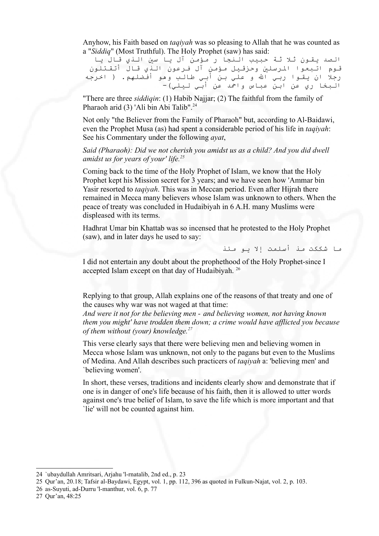Anyhow, his Faith based on *taqiyah* was so pleasing to Allah that he was counted as a "*Siddiq*" (Most Truthful). The Holy Prophet (saw) has said:

الصد يقون ثل ثة حبيب النجا ر مؤمن آل يا سي الذي قال يا قوم اتبعوا الرسلي وحزقيل مؤمن آل فرعون الذي قال أتقتلون رجلا ان يقـوا ربـي الله و علـي بـن أبـي طالـب وهو أفضلـهم. ( اخرجه البخا ري عن ابن عباس واحمد عن أبي ليلي)-

"There are three *siddiqin*: (1) Habib Najjar; (2) The faithful from the family of Pharaoh arid (3) 'Ali bin Abi Talib".<sup>[24](#page-9-0)</sup>

Not only "the Believer from the Family of Pharaoh" but, according to Al-Baidawi, even the Prophet Musa (as) had spent a considerable period of his life in *taqiyah*: See his Commentary under the following *ayat*,

*Said (Pharaoh): Did we not cherish you amidst us as a child? And you did dwell amidst us for years of your' life. [25](#page-9-1)*

Coming back to the time of the Holy Prophet of Islam, we know that the Holy Prophet kept his Mission secret for 3 years; and we have seen how 'Ammar bin Yasir resorted to *taqiyah*. This was in Meccan period. Even after Hijrah there remained in Mecca many believers whose Islam was unknown to others. When the peace of treaty was concluded in Hudaibiyah in 6 A.H. many Muslims were displeased with its terms.

Hadhrat Umar bin Khattab was so incensed that he protested to the Holy Prophet (saw), and in later days he used to say:

ما شككت مذ أسلمت إل يو مئذ

I did not entertain any doubt about the prophethood of the Holy Prophet-since I accepted Islam except on that day of Hudaibiyah. [26](#page-9-2)

Replying to that group, Allah explains one of the reasons of that treaty and one of the causes why war was not waged at that time:

*And were it not for the believing men - and believing women, not having known them you might' have trodden them down; a crime would have afflicted you because of them without (your) knowledge. [27](#page-9-3)*

This verse clearly says that there were believing men and believing women in Mecca whose Islam was unknown, not only to the pagans but even to the Muslims of Medina. And Allah describes such practicers of *taqiyah* a: 'believing men' and `believing women'.

In short, these verses, traditions and incidents clearly show and demonstrate that if one is in danger of one's life because of his faith, then it is allowed to utter words against one's true belief of Islam, to save the life which is more important and that `lie' will not be counted against him.

<span id="page-9-0"></span><sup>24</sup> `ubaydullah Amritsari, Arjahu 'l-rnatalib, 2nd ed., p. 23

<span id="page-9-1"></span><sup>25</sup> Qur'an, 20.18; Tafsir al-Baydawi, Egypt, vol. 1, pp. 112, 396 as quoted in Fulkun-Najat, vol. 2, p. 103.

<span id="page-9-2"></span><sup>26</sup> as-Suyuti, ad-Durru 'l-manthur, vol. 6, p. 77

<span id="page-9-3"></span><sup>27</sup> Qur'an, 48:25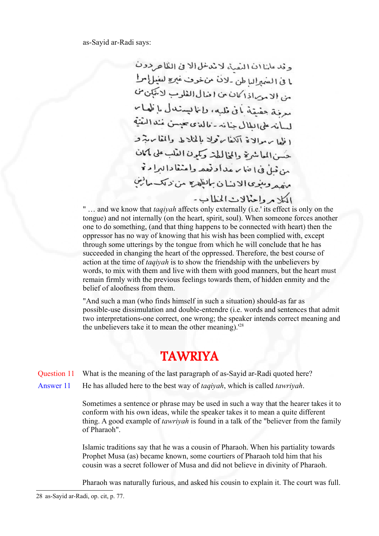as-Sayid ar-Radi says:

وقد علنا ان النَّفية لانتماظ الاني الكلاحرون ما في الشهراليا طن -لان من خوف غيرة ليغيل إسرا من الاميراذاكان من اضال الفلوب لاتتبان من مرفة حفيقة بأفى ظبه، وإنا ليستدل بالمهام لسأنه على الملال جنانه - ماللاي سيسن عند النقنة اظها برموالاة اآلفا برفولا بالخلاط والمقا بربثرو حُسن المعاشرة والمخالطة وكمون الفلب على لممان من فيل في إضابه عداد فعد واعنفادا لبرا مرة منهد ومنوى الابنان بالظهرة من ديك مالين الكلزم واحتلالات المطابء

" … and we know that *taqiyah* affects only externally (i.e.' its effect is only on the tongue) and not internally (on the heart, spirit, soul). When someone forces another one to do something, (and that thing happens to be connected with heart) then the oppressor has no way of knowing that his wish has been complied with, except through some utterings by the tongue from which he will conclude that he has succeeded in changing the heart of the oppressed. Therefore, the best course of action at the time of *taqiyah* is to show the friendship with the unbelievers by words, to mix with them and live with them with good manners, but the heart must remain firmly with the previous feelings towards them, of hidden enmity and the belief of aloofness from them.

"And such a man (who finds himself in such a situation) should-as far as possible-use dissimulation and double-entendre (i.e. words and sentences that admit two interpretations-one correct, one wrong; the speaker intends correct meaning and the unbelievers take it to mean the other meaning).'[28](#page-10-0)

## TAWRIYA

Question 11 What is the meaning of the last paragraph of as-Sayid ar-Radi quoted here?

Answer 11 He has alluded here to the best way of *taqiyah*, which is called *tawriyah*.

Sometimes a sentence or phrase may be used in such a way that the hearer takes it to conform with his own ideas, while the speaker takes it to mean a quite different thing. A good example of *tawriyah* is found in a talk of the "believer from the family of Pharaoh".

Islamic traditions say that he was a cousin of Pharaoh. When his partiality towards Prophet Musa (as) became known, some courtiers of Pharaoh told him that his cousin was a secret follower of Musa and did not believe in divinity of Pharaoh.

Pharaoh was naturally furious, and asked his cousin to explain it. The court was full.

<span id="page-10-0"></span><sup>28</sup> as-Sayid ar-Radi, op. cit, p. 77.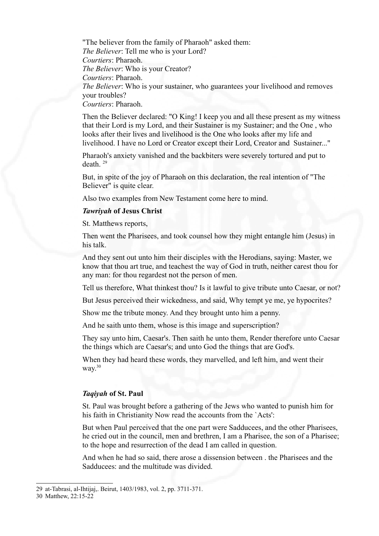"The believer from the family of Pharaoh" asked them: *The Believer*: Tell me who is your Lord? *Courtiers*: Pharaoh. *The Believer*: Who is your Creator? *Courtiers*: Pharaoh. *The Believer*: Who is your sustainer, who guarantees your livelihood and removes your troubles? *Courtiers*: Pharaoh.

Then the Believer declared: "O King! I keep you and all these present as my witness that their Lord is my Lord, and their Sustainer is my Sustainer; and the One , who looks after their lives and livelihood is the One who looks after my life and livelihood. I have no Lord or Creator except their Lord, Creator and Sustainer..."

Pharaoh's anxiety vanished and the backbiters were severely tortured and put to death. [29](#page-11-0)

But, in spite of the joy of Pharaoh on this declaration, the real intention of "The Believer" is quite clear.

Also two examples from New Testament come here to mind.

#### *Tawriyah* **of Jesus Christ**

St. Matthews reports,

Then went the Pharisees, and took counsel how they might entangle him (Jesus) in his talk.

And they sent out unto him their disciples with the Herodians, saying: Master, we know that thou art true, and teachest the way of God in truth, neither carest thou for any man: for thou regardest not the person of men.

Tell us therefore, What thinkest thou? Is it lawful to give tribute unto Caesar, or not?

But Jesus perceived their wickedness, and said, Why tempt ye me, ye hypocrites?

Show me the tribute money. And they brought unto him a penny.

And he saith unto them, whose is this image and superscription?

They say unto him, Caesar's. Then saith he unto them, Render therefore unto Caesar the things which are Caesar's; and unto God the things that are God's.

When they had heard these words, they marvelled, and left him, and went their way.<sup>[30](#page-11-1)</sup>

#### *Taqiyah* **of St. Paul**

St. Paul was brought before a gathering of the Jews who wanted to punish him for his faith in Christianity Now read the accounts from the `Acts':

But when Paul perceived that the one part were Sadducees, and the other Pharisees, he cried out in the council, men and brethren, I am a Pharisee, the son of a Pharisee; to the hope and resurrection of the dead I am called in question.

And when he had so said, there arose a dissension between . the Pharisees and the Sadducees: and the multitude was divided.

<span id="page-11-0"></span><sup>29</sup> at-Tabrasi, al-Ihtijaj,. Beirut, 1403/1983, vol. 2, pp. 3711-371.

<span id="page-11-1"></span><sup>30</sup> Matthew, 22:15-22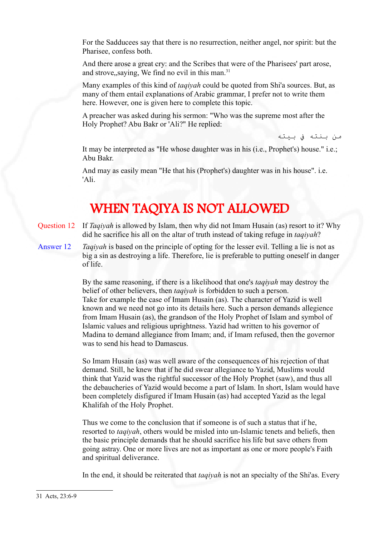For the Sadducees say that there is no resurrection, neither angel, nor spirit: but the Pharisee, confess both.

And there arose a great cry: and the Scribes that were of the Pharisees' part arose, and strove, saying, We find no evil in this man. $31$ 

Many examples of this kind of *taqiyah* could be quoted from Shi'a sources. But, as many of them entail explanations of Arabic grammar, I prefer not to write them here. However, one is given here to complete this topic.

A preacher was asked during his sermon: "Who was the supreme most after the Holy Prophet? Abu Bakr or 'Ali?" He replied:

من بنته ف بيته

It may be interpreted as "He whose daughter was in his (i.e., Prophet's) house." i.e.; Abu Bakr.

And may as easily mean "He that his (Prophet's) daughter was in his house". i.e. 'Ali.

# WHEN TAQIYA IS NOT ALLOWED

- Question 12 If *Taqiyah* is allowed by Islam, then why did not Imam Husain (as) resort to it? Why did he sacrifice his all on the altar of truth instead of taking refuge in *taqiyah*?
- Answer 12 *Taqiyah* is based on the principle of opting for the lesser evil. Telling a lie is not as big a sin as destroying a life. Therefore, lie is preferable to putting oneself in danger of life.

By the same reasoning, if there is a likelihood that one's *taqiyah* may destroy the belief of other believers, then *taqiyah* is forbidden to such a person. Take for example the case of Imam Husain (as). The character of Yazid is well known and we need not go into its details here. Such a person demands allegience from Imam Husain (as), the grandson of the Holy Prophet of Islam and symbol of Islamic values and religious uprightness. Yazid had written to his governor of Madina to demand allegiance from Imam; and, if Imam refused, then the governor was to send his head to Damascus.

So Imam Husain (as) was well aware of the consequences of his rejection of that demand. Still, he knew that if he did swear allegiance to Yazid, Muslims would think that Yazid was the rightful successor of the Holy Prophet (saw), and thus all the debaucheries of Yazid would become a part of Islam. In short, Islam would have been completely disfigured if Imam Husain (as) had accepted Yazid as the legal Khalifah of the Holy Prophet.

Thus we come to the conclusion that if someone is of such a status that if he, resorted to *taqiyah*, others would be misled into un-Islamic tenets and beliefs, then the basic principle demands that he should sacrifice his life but save others from going astray. One or more lives are not as important as one or more people's Faith and spiritual deliverance.

<span id="page-12-0"></span>In the end, it should be reiterated that *taqiyah* is not an specialty of the Shi'as. Every